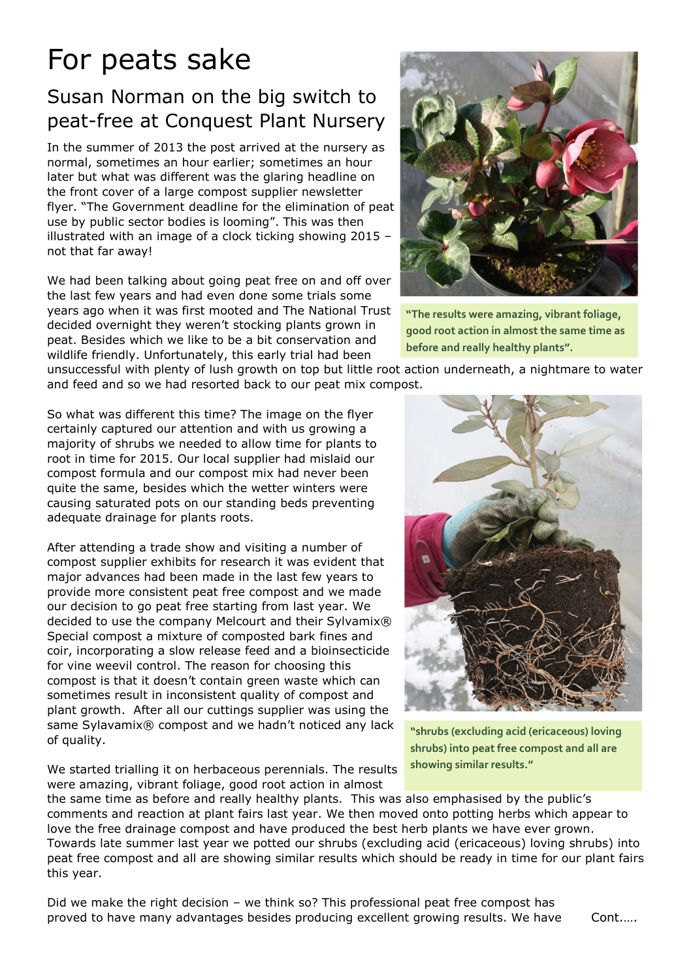## For peats sake

## Susan Norman on the big switch to peat-free at Conquest Plant Nursery

In the summer of 2013 the post arrived at the nursery as normal, sometimes an hour earlier; sometimes an hour later but what was different was the glaring headline on the front cover of a large compost supplier newsletter flyer. "The Government deadline for the elimination of peat use by public sector bodies is looming". This was then illustrated with an image of a clock ticking showing 2015 – not that far away!

We had been talking about going peat free on and off over the last few years and had even done some trials some years ago when it was first mooted and The National Trust decided overnight they weren't stocking plants grown in peat. Besides which we like to be a bit conservation and wildlife friendly. Unfortunately, this early trial had been



**"The results were amazing, vibrant foliage, good root action in almost the same time as before and really healthy plants".** 

unsuccessful with plenty of lush growth on top but little root action underneath, a nightmare to water and feed and so we had resorted back to our peat mix compost.

So what was different this time? The image on the flyer certainly captured our attention and with us growing a majority of shrubs we needed to allow time for plants to root in time for 2015. Our local supplier had mislaid our compost formula and our compost mix had never been quite the same, besides which the wetter winters were causing saturated pots on our standing beds preventing adequate drainage for plants roots.

After attending a trade show and visiting a number of compost supplier exhibits for research it was evident that major advances had been made in the last few years to provide more consistent peat free compost and we made our decision to go peat free starting from last year. We decided to use the company Melcourt and their Sylvamix® Special compost a mixture of composted bark fines and coir, incorporating a slow release feed and a bioinsecticide for vine weevil control. The reason for choosing this compost is that it doesn't contain green waste which can sometimes result in inconsistent quality of compost and plant growth. After all our cuttings supplier was using the same Sylavamix® compost and we hadn't noticed any lack of quality.



**"shrubs (excluding acid (ericaceous) loving shrubs) into peat free compost and all are showing similar results."**

We started trialling it on herbaceous perennials. The results were amazing, vibrant foliage, good root action in almost

the same time as before and really healthy plants. This was also emphasised by the public's comments and reaction at plant fairs last year. We then moved onto potting herbs which appear to love the free drainage compost and have produced the best herb plants we have ever grown. Towards late summer last year we potted our shrubs (excluding acid (ericaceous) loving shrubs) into peat free compost and all are showing similar results which should be ready in time for our plant fairs this year.

Did we make the right decision – we think so? This professional peat free compost has proved to have many advantages besides producing excellent growing results. We have Cont.....